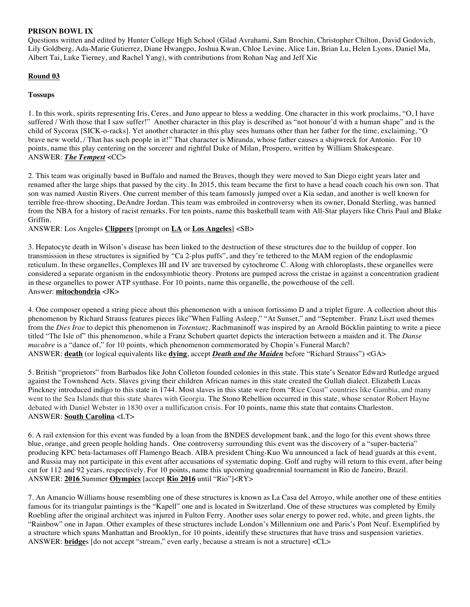### **PRISON BOWL IX**

Questions written and edited by Hunter College High School (Gilad Avrahami, Sam Brochin, Christopher Chilton, David Godovich, Lily Goldberg, Ada-Marie Gutierrez, Diane Hwangpo, Joshua Kwan, Chloe Levine, Alice Lin, Brian Lu, Helen Lyons, Daniel Ma, Albert Tai, Luke Tierney, and Rachel Yang), with contributions from Rohan Nag and Jeff Xie

# **Round 03**

## **Tossups**

1. In this work, spirits representing Iris, Ceres, and Juno appear to bless a wedding. One character in this work proclaims, "O, I have suffered / With those that I saw suffer!" Another character in this play is described as "not honour'd with a human shape" and is the child of Sycorax [SICK-o-racks]. Yet another character in this play sees humans other than her father for the time, exclaiming, "O brave new world, / That has such people in it!" That character is Miranda, whose father causes a shipwreck for Antonio. For 10 points, name this play centering on the sorcerer and rightful Duke of Milan, Prospero, written by William Shakespeare. ANSWER: *The Tempest* <CC>

2. This team was originally based in Buffalo and named the Braves, though they were moved to San Diego eight years later and renamed after the large ships that passed by the city. In 2015, this team became the first to have a head coach coach his own son. That son was named Austin Rivers. One current member of this team famously jumped over a Kia sedan, and another is well known for terrible free-throw shooting, DeAndre Jordan. This team was embroiled in controversy when its owner, Donald Sterling, was banned from the NBA for a history of racist remarks. For ten points, name this basketball team with All-Star players like Chris Paul and Blake Griffin.

ANSWER: Los Angeles **Clippers** [prompt on **LA** or **Los Angeles**] <SB>

3. Hepatocyte death in Wilson's disease has been linked to the destruction of these structures due to the buildup of copper. Ion transmission in these structures is signified by "Ca 2-plus puffs", and they're tethered to the MAM region of the endoplasmic reticulum. In these organelles, Complexes III and IV are traversed by cytochrome C. Along with chloroplasts, these organelles were considered a separate organism in the endosymbiotic theory. Protons are pumped across the cristae in against a concentration gradient in these organelles to power ATP synthase. For 10 points, name this organelle, the powerhouse of the cell. Answer: **mitochondria** <JK>

4. One composer opened a string piece about this phenomenon with a unison fortissimo D and a triplet figure. A collection about this phenomenon by Richard Strauss features pieces like"When Falling Asleep," "At Sunset," and "September. Franz Liszt used themes from the *Dies Irae* to depict this phenomenon in *Totentanz*. Rachmaninoff was inspired by an Arnold Böcklin painting to write a piece titled "The Isle of" this phenomenon, while a Franz Schubert quartet depicts the interaction between a maiden and it. The *Danse macabre* is a "dance of," for 10 points, which phenomenon commemorated by Chopin's Funeral March? ANSWER: **death** (or logical equivalents like **dying**, accept *Death and the Maiden* before "Richard Strauss") <GA>

5. British "proprietors" from Barbados like John Colleton founded colonies in this state. This state's Senator Edward Rutledge argued against the Townshend Acts. Slaves giving their children African names in this state created the Gullah dialect. Elizabeth Lucas Pinckney introduced indigo to this state in 1744. Most slaves in this state were from "Rice Coast" countries like Gambia, and many went to the Sea Islands that this state shares with Georgia. The Stono Rebellion occurred in this state, whose senator Robert Hayne debated with Daniel Webster in 1830 over a nullification crisis. For 10 points, name this state that contains Charleston. ANSWER: **South Carolina** <LT>

6. A rail extension for this event was funded by a loan from the BNDES development bank, and the logo for this event shows three blue, orange, and green people holding hands. One controversy surrounding this event was the discovery of a "super-bacteria" producing KPC beta-lactamases off Flamengo Beach. AIBA president Ching-Kuo Wu announced a lack of head guards at this event, and Russia may not participate in this event after accusations of systematic doping. Golf and rugby will return to this event, after being cut for 112 and 92 years, respectively. For 10 points, name this upcoming quadrennial tournament in Rio de Janeiro, Brazil. ANSWER: **2016** Summer **Olympics** [accept **Rio 2016** until "Rio"]<RY>

7. An Amancio Williams house resembling one of these structures is known as La Casa del Arroyo, while another one of these entities famous for its triangular paintings is the "Kapell" one and is located in Switzerland. One of these structures was completed by Emily Roebling after the original architect was injured in Fulton Ferry. Another uses solar energy to power red, white, and green lights, the "Rainbow" one in Japan. Other examples of these structures include London's Millennium one and Paris's Pont Neuf. Exemplified by a structure which spans Manhattan and Brooklyn, for 10 points, identify these structures that have truss and suspension varieties. ANSWER: **bridge**s [do not accept "stream," even early, because a stream is not a structure] <CL>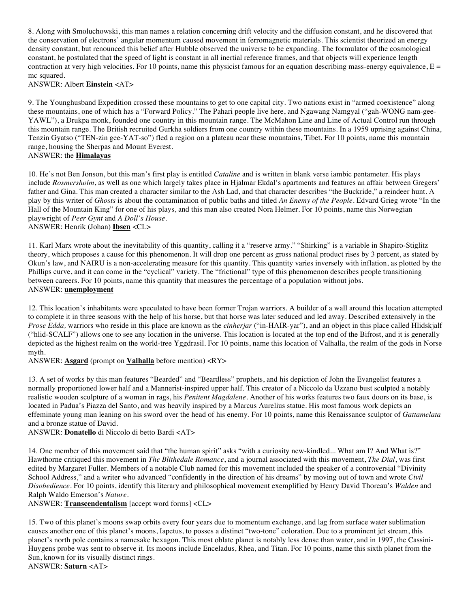8. Along with Smoluchowski, this man names a relation concerning drift velocity and the diffusion constant, and he discovered that the conservation of electrons' angular momentum caused movement in ferromagnetic materials. This scientist theorized an energy density constant, but renounced this belief after Hubble observed the universe to be expanding. The formulator of the cosmological constant, he postulated that the speed of light is constant in all inertial reference frames, and that objects will experience length contraction at very high velocities. For 10 points, name this physicist famous for an equation describing mass-energy equivalence,  $E =$ mc squared.

ANSWER: Albert **Einstein** <AT>

9. The Younghusband Expedition crossed these mountains to get to one capital city. Two nations exist in "armed coexistence" along these mountains, one of which has a "Forward Policy." The Pahari people live here, and Ngawang Namgyal ("gah-WONG nam-gee-YAWL"), a Drukpa monk, founded one country in this mountain range. The McMahon Line and Line of Actual Control run through this mountain range. The British recruited Gurkha soldiers from one country within these mountains. In a 1959 uprising against China, Tenzin Gyatso ("TEN-zin gee-YAT-so") fled a region on a plateau near these mountains, Tibet. For 10 points, name this mountain range, housing the Sherpas and Mount Everest. ANSWER: the **Himalayas**

10. He's not Ben Jonson, but this man's first play is entitled *Cataline* and is written in blank verse iambic pentameter. His plays include *Rosmersholm*, as well as one which largely takes place in Hjalmar Ekdal's apartments and features an affair between Gregers' father and Gina. This man created a character similar to the Ash Lad, and that character describes "the Buckride," a reindeer hunt. A play by this writer of *Ghosts* is about the contamination of public baths and titled *An Enemy of the People*. Edvard Grieg wrote "In the Hall of the Mountain King" for one of his plays, and this man also created Nora Helmer. For 10 points, name this Norwegian playwright of *Peer Gynt* and *A Doll's House*. ANSWER: Henrik (Johan) **Ibsen** <CL>

11. Karl Marx wrote about the inevitability of this quantity, calling it a "reserve army." "Shirking" is a variable in Shapiro-Stiglitz theory, which proposes a cause for this phenomenon. It will drop one percent as gross national product rises by 3 percent, as stated by Okun's law, and NAIRU is a non-accelerating measure for this quantity. This quantity varies inversely with inflation, as plotted by the Phillips curve, and it can come in the "cyclical" variety. The "frictional" type of this phenomenon describes people transitioning between careers. For 10 points, name this quantity that measures the percentage of a population without jobs. ANSWER: **unemployment**

12. This location's inhabitants were speculated to have been former Trojan warriors. A builder of a wall around this location attempted to complete it in three seasons with the help of his horse, but that horse was later seduced and led away. Described extensively in the *Prose Edda,* warriors who reside in this place are known as the *einherjar* ("in-HAIR-yar"), and an object in this place called Hlidskjalf ("hlid-SCALF") allows one to see any location in the universe. This location is located at the top end of the Bifrost, and it is generally depicted as the highest realm on the world-tree Yggdrasil. For 10 points, name this location of Valhalla, the realm of the gods in Norse myth.

ANSWER: **Asgard** (prompt on **Valhalla** before mention) <RY>

13. A set of works by this man features "Bearded" and "Beardless" prophets, and his depiction of John the Evangelist features a normally proportioned lower half and a Mannerist-inspired upper half. This creator of a Niccolo da Uzzano bust sculpted a notably realistic wooden sculpture of a woman in rags, his *Penitent Magdalene*. Another of his works features two faux doors on its base, is located in Padua's Piazza del Santo, and was heavily inspired by a Marcus Aurelius statue. His most famous work depicts an effeminate young man leaning on his sword over the head of his enemy. For 10 points, name this Renaissance sculptor of *Gattamelata* and a bronze statue of David.

ANSWER: **Donatello** di Niccolo di betto Bardi <AT>

14. One member of this movement said that "the human spirit" asks "with a curiosity new-kindled... What am I? And What is?" Hawthorne critiqued this movement in *The Blithedale Romance*, and a journal associated with this movement, *The Dial*, was first edited by Margaret Fuller. Members of a notable Club named for this movement included the speaker of a controversial "Divinity School Address," and a writer who advanced "confidently in the direction of his dreams" by moving out of town and wrote *Civil Disobedience*. For 10 points, identify this literary and philosophical movement exemplified by Henry David Thoreau's *Walden* and Ralph Waldo Emerson's *Nature*.

ANSWER: **Transcendentalism** [accept word forms] <CL>

15. Two of this planet's moons swap orbits every four years due to momentum exchange, and lag from surface water sublimation causes another one of this planet's moons, Iapetus, to posses a distinct "two-tone" coloration. Due to a prominent jet stream, this planet's north pole contains a namesake hexagon. This most oblate planet is notably less dense than water, and in 1997, the Cassini-Huygens probe was sent to observe it. Its moons include Enceladus, Rhea, and Titan. For 10 points, name this sixth planet from the Sun, known for its visually distinct rings. ANSWER: **Saturn** <AT>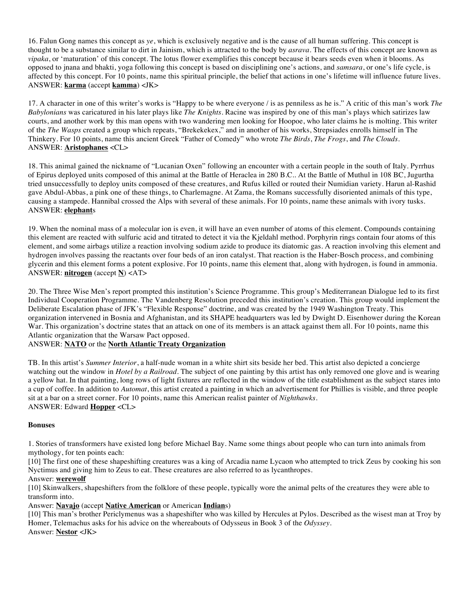16. Falun Gong names this concept as *ye*, which is exclusively negative and is the cause of all human suffering. This concept is thought to be a substance similar to dirt in Jainism, which is attracted to the body by *asrava*. The effects of this concept are known as *vipaka*, or 'maturation' of this concept. The lotus flower exemplifies this concept because it bears seeds even when it blooms. As opposed to jnana and bhakti, yoga following this concept is based on disciplining one's actions, and *samsara*, or one's life cycle, is affected by this concept. For 10 points, name this spiritual principle, the belief that actions in one's lifetime will influence future lives. ANSWER: **karma** (accept **kamma**) <JK>

17. A character in one of this writer's works is "Happy to be where everyone / is as penniless as he is." A critic of this man's work *The Babylonians* was caricatured in his later plays like *The Knights*. Racine was inspired by one of this man's plays which satirizes law courts, and another work by this man opens with two wandering men looking for Hoopoe, who later claims he is molting. This writer of the *The Wasps* created a group which repeats, "Brekekekex," and in another of his works, Strepsiades enrolls himself in The Thinkery. For 10 points, name this ancient Greek "Father of Comedy" who wrote *The Birds*, *The Frogs*, and *The Clouds*. ANSWER: **Aristophanes** <CL>

18. This animal gained the nickname of "Lucanian Oxen" following an encounter with a certain people in the south of Italy. Pyrrhus of Epirus deployed units composed of this animal at the Battle of Heraclea in 280 B.C.. At the Battle of Muthul in 108 BC, Jugurtha tried unsuccessfully to deploy units composed of these creatures, and Rufus killed or routed their Numidian variety. Harun al-Rashid gave Abdul-Abbas, a pink one of these things, to Charlemagne. At Zama, the Romans successfully disoriented animals of this type, causing a stampede. Hannibal crossed the Alps with several of these animals. For 10 points, name these animals with ivory tusks. ANSWER: **elephant**s

19. When the nominal mass of a molecular ion is even, it will have an even number of atoms of this element. Compounds containing this element are reacted with sulfuric acid and titrated to detect it via the Kjeldahl method. Porphyrin rings contain four atoms of this element, and some airbags utilize a reaction involving sodium azide to produce its diatomic gas. A reaction involving this element and hydrogen involves passing the reactants over four beds of an iron catalyst. That reaction is the Haber-Bosch process, and combining glycerin and this element forms a potent explosive. For 10 points, name this element that, along with hydrogen, is found in ammonia. ANSWER: **nitrogen** (accept **N**) <AT>

20. The Three Wise Men's report prompted this institution's Science Programme. This group's Mediterranean Dialogue led to its first Individual Cooperation Programme. The Vandenberg Resolution preceded this institution's creation. This group would implement the Deliberate Escalation phase of JFK's "Flexible Response" doctrine, and was created by the 1949 Washington Treaty. This organization intervened in Bosnia and Afghanistan, and its SHAPE headquarters was led by Dwight D. Eisenhower during the Korean War. This organization's doctrine states that an attack on one of its members is an attack against them all. For 10 points, name this Atlantic organization that the Warsaw Pact opposed.

ANSWER: **NATO** or the **North Atlantic Treaty Organization**

TB. In this artist's *Summer Interior*, a half-nude woman in a white shirt sits beside her bed. This artist also depicted a concierge watching out the window in *Hotel by a Railroad*. The subject of one painting by this artist has only removed one glove and is wearing a yellow hat. In that painting, long rows of light fixtures are reflected in the window of the title establishment as the subject stares into a cup of coffee. In addition to *Automat*, this artist created a painting in which an advertisement for Phillies is visible, and three people sit at a bar on a street corner. For 10 points, name this American realist painter of *Nighthawks*. ANSWER: Edward **Hopper** <CL>

#### **Bonuses**

1. Stories of transformers have existed long before Michael Bay. Name some things about people who can turn into animals from mythology, for ten points each:

[10] The first one of these shapeshifting creatures was a king of Arcadia name Lycaon who attempted to trick Zeus by cooking his son Nyctimus and giving him to Zeus to eat. These creatures are also referred to as lycanthropes.

#### Answer: **werewolf**

[10] Skinwalkers, shapeshifters from the folklore of these people, typically wore the animal pelts of the creatures they were able to transform into.

Answer: **Navajo** (accept **Native American** or American **Indian**s)

[10] This man's brother Periclymenus was a shapeshifter who was killed by Hercules at Pylos. Described as the wisest man at Troy by Homer, Telemachus asks for his advice on the whereabouts of Odysseus in Book 3 of the *Odyssey*. Answer: **Nestor** <JK>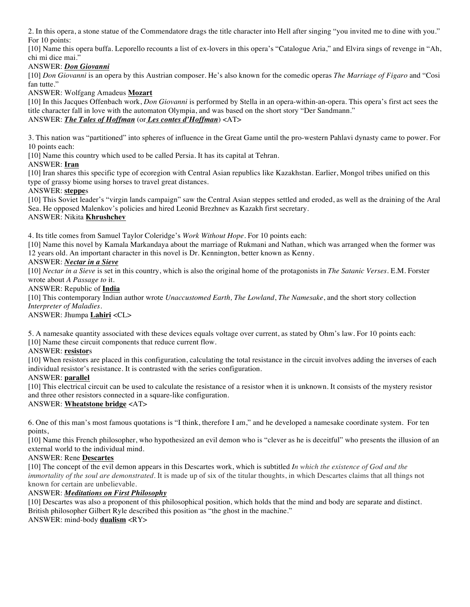2. In this opera, a stone statue of the Commendatore drags the title character into Hell after singing "you invited me to dine with you." For 10 points:

[10] Name this opera buffa. Leporello recounts a list of ex-lovers in this opera's "Catalogue Aria," and Elvira sings of revenge in "Ah, chi mi dice mai."

## ANSWER: *Don Giovanni*

[10] *Don Giovanni* is an opera by this Austrian composer. He's also known for the comedic operas *The Marriage of Figaro* and "Cosi fan tutte."

ANSWER: Wolfgang Amadeus **Mozart**

[10] In this Jacques Offenbach work, *Don Giovanni* is performed by Stella in an opera-within-an-opera. This opera's first act sees the title character fall in love with the automaton Olympia, and was based on the short story "Der Sandmann." ANSWER: *The Tales of Hoffman* (or *Les contes d'Hoffman*) <AT>

3. This nation was "partitioned" into spheres of influence in the Great Game until the pro-western Pahlavi dynasty came to power. For 10 points each:

[10] Name this country which used to be called Persia. It has its capital at Tehran.

## ANSWER: **Iran**

[10] Iran shares this specific type of ecoregion with Central Asian republics like Kazakhstan. Earlier, Mongol tribes unified on this type of grassy biome using horses to travel great distances.

## ANSWER: **steppe**s

[10] This Soviet leader's "virgin lands campaign" saw the Central Asian steppes settled and eroded, as well as the draining of the Aral Sea. He opposed Malenkov's policies and hired Leonid Brezhnev as Kazakh first secretary. ANSWER: Nikita **Khrushchev**

4. Its title comes from Samuel Taylor Coleridge's *Work Without Hope*. For 10 points each:

[10] Name this novel by Kamala Markandaya about the marriage of Rukmani and Nathan, which was arranged when the former was 12 years old. An important character in this novel is Dr. Kennington, better known as Kenny.

# ANSWER: *Nectar in a Sieve*

[10] *Nectar in a Sieve* is set in this country, which is also the original home of the protagonists in *The Satanic Verses*. E.M. Forster wrote about *A Passage to* it.

#### ANSWER: Republic of **India**

[10] This contemporary Indian author wrote *Unaccustomed Earth, The Lowland*, *The Namesake*, and the short story collection *Interpreter of Maladies*.

ANSWER: Jhumpa **Lahiri** <CL>

5. A namesake quantity associated with these devices equals voltage over current, as stated by Ohm's law. For 10 points each: [10] Name these circuit components that reduce current flow.

#### ANSWER: **resistor**s

[10] When resistors are placed in this configuration, calculating the total resistance in the circuit involves adding the inverses of each individual resistor's resistance. It is contrasted with the series configuration.

### ANSWER: **parallel**

[10] This electrical circuit can be used to calculate the resistance of a resistor when it is unknown. It consists of the mystery resistor and three other resistors connected in a square-like configuration.

ANSWER: **Wheatstone bridge** <AT>

6. One of this man's most famous quotations is "I think, therefore I am," and he developed a namesake coordinate system. For ten points,

[10] Name this French philosopher, who hypothesized an evil demon who is "clever as he is deceitful" who presents the illusion of an external world to the individual mind.

#### ANSWER: Rene **Descartes**

[10] The concept of the evil demon appears in this Descartes work, which is subtitled *In which the existence of God and the immortality of the soul are demonstrated.* It is made up of six of the titular thoughts, in which Descartes claims that all things not known for certain are unbelievable.

# ANSWER: *Meditations on First Philosophy*

[10] Descartes was also a proponent of this philosophical position, which holds that the mind and body are separate and distinct. British philosopher Gilbert Ryle described this position as "the ghost in the machine." ANSWER: mind-body **dualism** <RY>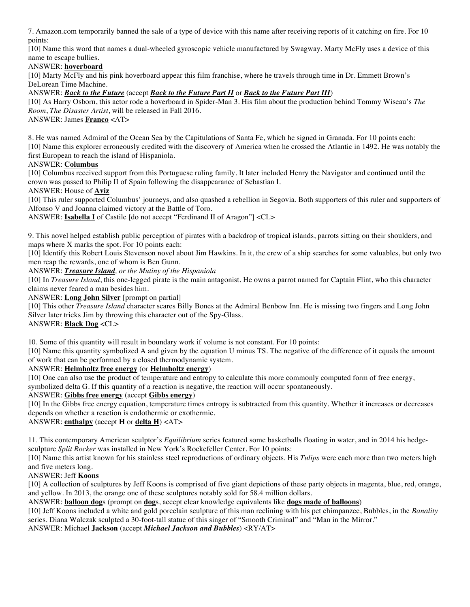7. Amazon.com temporarily banned the sale of a type of device with this name after receiving reports of it catching on fire. For 10 points:

[10] Name this word that names a dual-wheeled gyroscopic vehicle manufactured by Swagway. Marty McFly uses a device of this name to escape bullies.

## ANSWER: **hoverboard**

[10] Marty McFly and his pink hoverboard appear this film franchise, where he travels through time in Dr. Emmett Brown's DeLorean Time Machine.

### ANSWER: *Back to the Future* (accept *Back to the Future Part II* or *Back to the Future Part III*)

[10] As Harry Osborn, this actor rode a hoverboard in Spider-Man 3. His film about the production behind Tommy Wiseau's *The Room*, *The Disaster Artist*, will be released in Fall 2016.

ANSWER: James **Franco** <AT>

8. He was named Admiral of the Ocean Sea by the Capitulations of Santa Fe, which he signed in Granada. For 10 points each: [10] Name this explorer erroneously credited with the discovery of America when he crossed the Atlantic in 1492. He was notably the first European to reach the island of Hispaniola.

## ANSWER: **Columbus**

[10] Columbus received support from this Portuguese ruling family. It later included Henry the Navigator and continued until the crown was passed to Philip II of Spain following the disappearance of Sebastian I.

#### ANSWER: House of **Aviz**

[10] This ruler supported Columbus' journeys, and also quashed a rebellion in Segovia. Both supporters of this ruler and supporters of Alfonso V and Joanna claimed victory at the Battle of Toro.

ANSWER: **Isabella I** of Castile [do not accept "Ferdinand II of Aragon"] <CL>

9. This novel helped establish public perception of pirates with a backdrop of tropical islands, parrots sitting on their shoulders, and maps where X marks the spot. For 10 points each:

[10] Identify this Robert Louis Stevenson novel about Jim Hawkins. In it, the crew of a ship searches for some valuables, but only two men reap the rewards, one of whom is Ben Gunn.

#### ANSWER: *Treasure Island, or the Mutiny of the Hispaniola*

[10] In *Treasure Island*, this one-legged pirate is the main antagonist. He owns a parrot named for Captain Flint, who this character claims never feared a man besides him.

#### ANSWER: **Long John Silver** [prompt on partial]

[10] This other *Treasure Island* character scares Billy Bones at the Admiral Benbow Inn. He is missing two fingers and Long John Silver later tricks Jim by throwing this character out of the Spy-Glass.

# ANSWER: **Black Dog** <CL>

10. Some of this quantity will result in boundary work if volume is not constant. For 10 points:

[10] Name this quantity symbolized A and given by the equation U minus TS. The negative of the difference of it equals the amount of work that can be performed by a closed thermodynamic system.

#### ANSWER: **Helmholtz free energy** (or **Helmholtz energy**)

[10] One can also use the product of temperature and entropy to calculate this more commonly computed form of free energy,

symbolized delta G. If this quantity of a reaction is negative, the reaction will occur spontaneously.

# ANSWER: **Gibbs free energy** (accept **Gibbs energy**)

[10] In the Gibbs free energy equation, temperature times entropy is subtracted from this quantity. Whether it increases or decreases depends on whether a reaction is endothermic or exothermic.

ANSWER: **enthalpy** (accept **H** or **delta H**) <AT>

11. This contemporary American sculptor's *Equilibrium* series featured some basketballs floating in water, and in 2014 his hedgesculpture *Split Rocker* was installed in New York's Rockefeller Center. For 10 points:

[10] Name this artist known for his stainless steel reproductions of ordinary objects. His *Tulips* were each more than two meters high and five meters long.

# ANSWER: Jeff **Koons**

[10] A collection of sculptures by Jeff Koons is comprised of five giant depictions of these party objects in magenta, blue, red, orange, and yellow. In 2013, the orange one of these sculptures notably sold for 58.4 million dollars.

ANSWER: **balloon dog**s (prompt on **dog**s, accept clear knowledge equivalents like **dogs made of balloons**)

[10] Jeff Koons included a white and gold porcelain sculpture of this man reclining with his pet chimpanzee, Bubbles, in the *Banality* series. Diana Walczak sculpted a 30-foot-tall statue of this singer of "Smooth Criminal" and "Man in the Mirror."

ANSWER: Michael **Jackson** (accept *Michael Jackson and Bubbles*) <RY/AT>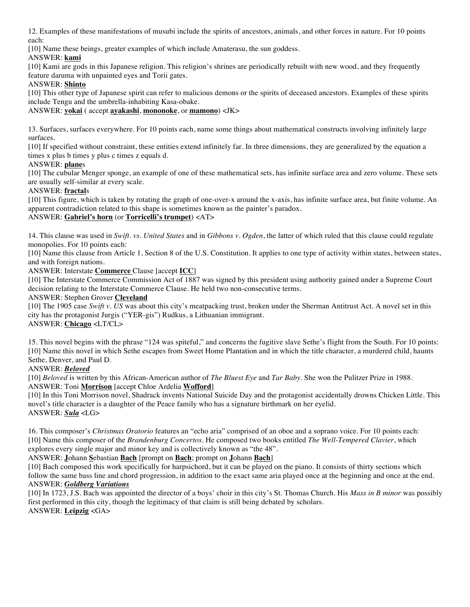12. Examples of these manifestations of musubi include the spirits of ancestors, animals, and other forces in nature. For 10 points each:

[10] Name these beings, greater examples of which include Amaterasu, the sun goddess.

## ANSWER: **kami**

[10] Kami are gods in this Japanese religion. This religion's shrines are periodically rebuilt with new wood, and they frequently feature daruma with unpainted eyes and Torii gates.

## ANSWER: **Shinto**

[10] This other type of Japanese spirit can refer to malicious demons or the spirits of deceased ancestors. Examples of these spirits include Tengu and the umbrella-inhabiting Kasa-obake.

### ANSWER: **yokai** ( accept **ayakashi**, **mononoke**, or **mamono**) <JK>

13. Surfaces, surfaces everywhere. For 10 points each, name some things about mathematical constructs involving infinitely large surfaces.

[10] If specified without constraint, these entities extend infinitely far. In three dimensions, they are generalized by the equation a times x plus b times y plus c times z equals d.

## ANSWER: **plane**s

[10] The cubular Menger sponge, an example of one of these mathematical sets, has infinite surface area and zero volume. These sets are usually self-similar at every scale.

#### ANSWER: **fractal**s

[10] This figure, which is taken by rotating the graph of one-over-x around the x-axis, has infinite surface area, but finite volume. An apparent contradiction related to this shape is sometimes known as the painter's paradox.

# ANSWER: **Gabriel's horn** (or **Torricelli's trumpet**) <AT>

14. This clause was used in *Swift. vs. United States* and in *Gibbons v. Ogden*, the latter of which ruled that this clause could regulate monopolies. For 10 points each:

[10] Name this clause from Article 1, Section 8 of the U.S. Constitution. It applies to one type of activity within states, between states, and with foreign nations.

ANSWER: Interstate **Commerce** Clause [accept **ICC**]

[10] The Interstate Commerce Commission Act of 1887 was signed by this president using authority gained under a Supreme Court decision relating to the Interstate Commerce Clause. He held two non-consecutive terms.

## ANSWER: Stephen Grover **Cleveland**

[10] The 1905 case *Swift v. US* was about this city's meatpacking trust, broken under the Sherman Antitrust Act. A novel set in this city has the protagonist Jurgis ("YER-gis") Rudkus, a Lithuanian immigrant.

# ANSWER: **Chicago** <LT/CL>

15. This novel begins with the phrase "124 was spiteful," and concerns the fugitive slave Sethe's flight from the South. For 10 points: [10] Name this novel in which Sethe escapes from Sweet Home Plantation and in which the title character, a murdered child, haunts Sethe, Denver, and Paul D.

ANSWER: *Beloved*

[10] *Beloved* is written by this African-American author of *The Bluest Eye* and *Tar Baby*. She won the Pulitzer Prize in 1988. ANSWER: Toni **Morrison** [accept Chloe Ardelia **Wofford**]

[10] In this Toni Morrison novel, Shadrack invents National Suicide Day and the protagonist accidentally drowns Chicken Little. This novel's title character is a daughter of the Peace family who has a signature birthmark on her eyelid. ANSWER: *Sula* <LG>

16. This composer's *Christmas Oratorio* features an "echo aria" comprised of an oboe and a soprano voice. For 10 points each: [10] Name this composer of the *Brandenburg Concertos*. He composed two books entitled *The Well-Tempered Clavier*, which explores every single major and minor key and is collectively known as "the 48".

ANSWER: **J**ohann **S**ebastian **Bach** [prompt on **Bach**; prompt on **J**ohann **Bach**]

[10] Bach composed this work specifically for harpsichord, but it can be played on the piano. It consists of thirty sections which follow the same bass line and chord progression, in addition to the exact same aria played once at the beginning and once at the end. ANSWER: *Goldberg Variations*

[10] In 1723, J.S. Bach was appointed the director of a boys' choir in this city's St. Thomas Church. His *Mass in B minor* was possibly first performed in this city, though the legitimacy of that claim is still being debated by scholars. ANSWER: **Leipzig** <GA>